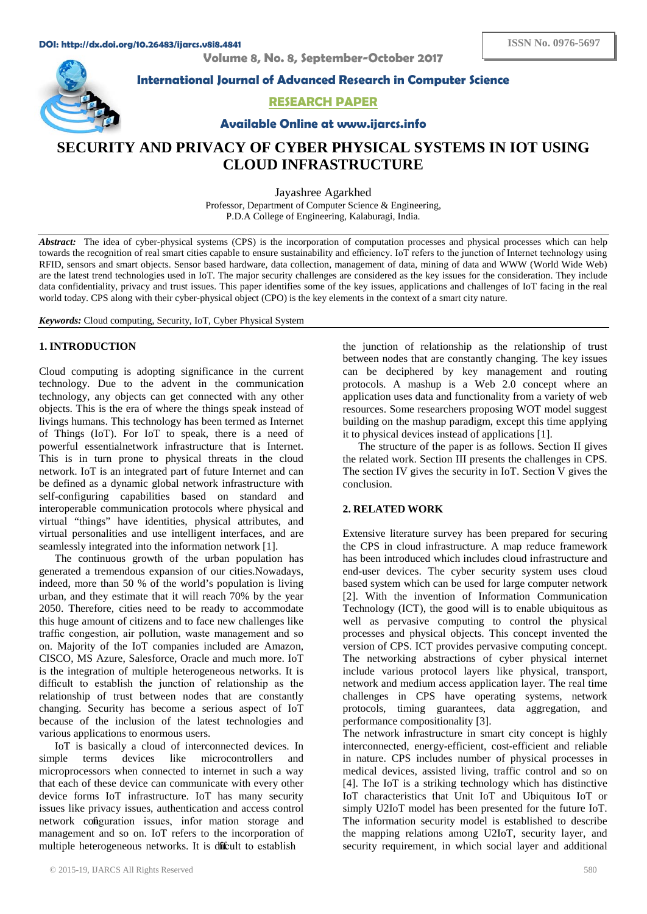**Volume 8, No. 8, September-October 2017**



**International Journal of Advanced Research in Computer Science**

**RESEARCH PAPER**

**Available Online at www.ijarcs.info**

# **SECURITY AND PRIVACY OF CYBER PHYSICAL SYSTEMS IN IOT USING CLOUD INFRASTRUCTURE**

Jayashree Agarkhed Professor, Department of Computer Science & Engineering, P.D.A College of Engineering, Kalaburagi, India.

*Abstract:* The idea of cyber-physical systems (CPS) is the incorporation of computation processes and physical processes which can help towards the recognition of real smart cities capable to ensure sustainability and efficiency. IoT refers to the junction of Internet technology using RFID, sensors and smart objects. Sensor based hardware, data collection, management of data, mining of data and WWW (World Wide Web) are the latest trend technologies used in IoT. The major security challenges are considered as the key issues for the consideration. They include data confidentiality, privacy and trust issues. This paper identifies some of the key issues, applications and challenges of IoT facing in the real world today. CPS along with their cyber-physical object (CPO) is the key elements in the context of a smart city nature.

*Keywords:* Cloud computing, Security, IoT, Cyber Physical System

## **1. INTRODUCTION**

Cloud computing is adopting significance in the current technology. Due to the advent in the communication technology, any objects can get connected with any other objects. This is the era of where the things speak instead of livings humans. This technology has been termed as Internet of Things (IoT). For IoT to speak, there is a need of powerful essentialnetwork infrastructure that is Internet. This is in turn prone to physical threats in the cloud network. IoT is an integrated part of future Internet and can be defined as a dynamic global network infrastructure with self-configuring capabilities based on standard and interoperable communication protocols where physical and virtual "things" have identities, physical attributes, and virtual personalities and use intelligent interfaces, and are seamlessly integrated into the information network [1].

The continuous growth of the urban population has generated a tremendous expansion of our cities.Nowadays, indeed, more than 50 % of the world's population is living urban, and they estimate that it will reach 70% by the year 2050. Therefore, cities need to be ready to accommodate this huge amount of citizens and to face new challenges like traffic congestion, air pollution, waste management and so on. Majority of the IoT companies included are Amazon, CISCO, MS Azure, Salesforce, Oracle and much more. IoT is the integration of multiple heterogeneous networks. It is difficult to establish the junction of relationship as the relationship of trust between nodes that are constantly changing. Security has become a serious aspect of IoT because of the inclusion of the latest technologies and various applications to enormous users.

IoT is basically a cloud of interconnected devices. In simple terms devices like microcontrollers and microprocessors when connected to internet in such a way that each of these device can communicate with every other device forms IoT infrastructure. IoT has many security issues like privacy issues, authentication and access control network configuration issues, infor mation storage and management and so on. IoT refers to the incorporation of multiple heterogeneous networks. It is difficult to establish

the junction of relationship as the relationship of trust between nodes that are constantly changing. The key issues can be deciphered by key management and routing protocols. A mashup is a Web 2.0 concept where an application uses data and functionality from a variety of web resources. Some researchers proposing WOT model suggest building on the mashup paradigm, except this time applying it to physical devices instead of applications [1].

The structure of the paper is as follows. Section II gives the related work. Section III presents the challenges in CPS. The section IV gives the security in IoT. Section V gives the conclusion.

### **2. RELATED WORK**

Extensive literature survey has been prepared for securing the CPS in cloud infrastructure. A map reduce framework has been introduced which includes cloud infrastructure and end-user devices. The cyber security system uses cloud based system which can be used for large computer network [2]. With the invention of Information Communication Technology (ICT), the good will is to enable ubiquitous as well as pervasive computing to control the physical processes and physical objects. This concept invented the version of CPS. ICT provides pervasive computing concept. The networking abstractions of cyber physical internet include various protocol layers like physical, transport, network and medium access application layer. The real time challenges in CPS have operating systems, network protocols, timing guarantees, data aggregation, and performance compositionality [3].

The network infrastructure in smart city concept is highly interconnected, energy-efficient, cost-efficient and reliable in nature. CPS includes number of physical processes in medical devices, assisted living, traffic control and so on [4]. The IoT is a striking technology which has distinctive IoT characteristics that Unit IoT and Ubiquitous IoT or simply U2IoT model has been presented for the future IoT. The information security model is established to describe the mapping relations among U2IoT, security layer, and security requirement, in which social layer and additional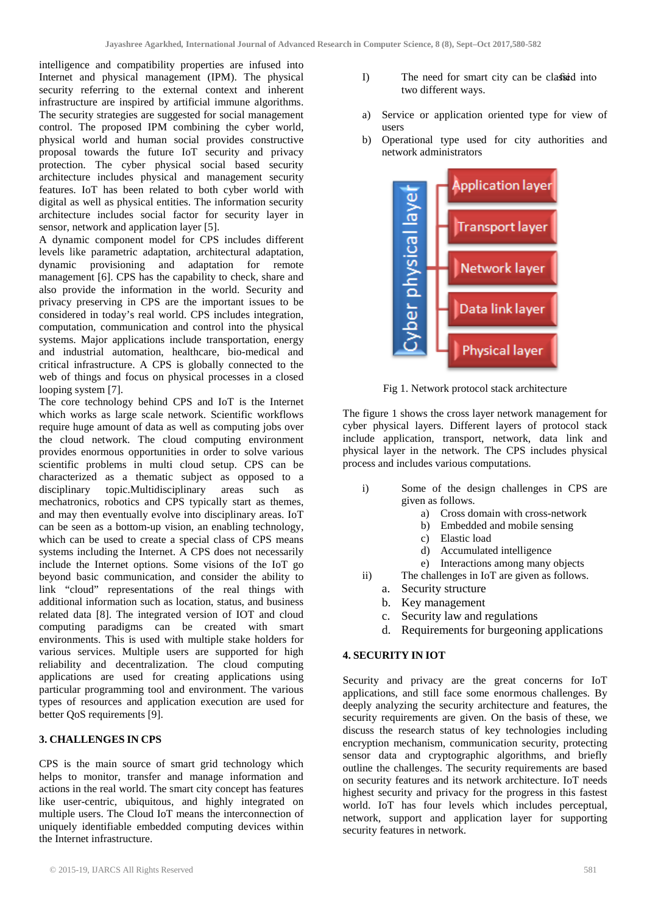intelligence and compatibility properties are infused into Internet and physical management (IPM). The physical security referring to the external context and inherent infrastructure are inspired by artificial immune algorithms. The security strategies are suggested for social management control. The proposed IPM combining the cyber world, physical world and human social provides constructive proposal towards the future IoT security and privacy protection. The cyber physical social based security architecture includes physical and management security features. IoT has been related to both cyber world with digital as well as physical entities. The information security architecture includes social factor for security layer in sensor, network and application layer [5].

A dynamic component model for CPS includes different levels like parametric adaptation, architectural adaptation, dynamic provisioning and adaptation for remote management [6]. CPS has the capability to check, share and also provide the information in the world. Security and privacy preserving in CPS are the important issues to be considered in today's real world. CPS includes integration, computation, communication and control into the physical systems. Major applications include transportation, energy and industrial automation, healthcare, bio-medical and critical infrastructure. A CPS is globally connected to the web of things and focus on physical processes in a closed looping system [7].

The core technology behind CPS and IoT is the Internet which works as large scale network. Scientific workflows require huge amount of data as well as computing jobs over the cloud network. The cloud computing environment provides enormous opportunities in order to solve various scientific problems in multi cloud setup. CPS can be characterized as a thematic subject as opposed to a disciplinary topic.Multidisciplinary areas such as mechatronics, robotics and CPS typically start as themes, and may then eventually evolve into disciplinary areas. IoT can be seen as a bottom-up vision, an enabling technology, which can be used to create a special class of CPS means systems including the Internet. A CPS does not necessarily include the Internet options. Some visions of the IoT go beyond basic communication, and consider the ability to link "cloud" representations of the real things with additional information such as location, status, and business related data [8]. The integrated version of IOT and cloud computing paradigms can be created with smart environments. This is used with multiple stake holders for various services. Multiple users are supported for high reliability and decentralization. The cloud computing applications are used for creating applications using particular programming tool and environment. The various types of resources and application execution are used for better QoS requirements [9].

# **3. CHALLENGES IN CPS**

CPS is the main source of smart grid technology which helps to monitor, transfer and manage information and actions in the real world. The smart city concept has features like user-centric, ubiquitous, and highly integrated on multiple users. The Cloud IoT means the interconnection of uniquely identifiable embedded computing devices within the Internet infrastructure.

- I) The need for smart city can be classical into two different ways.
- a) Service or application oriented type for view of users
- b) Operational type used for city authorities and network administrators



Fig 1. Network protocol stack architecture

The figure 1 shows the cross layer network management for cyber physical layers. Different layers of protocol stack include application, transport, network, data link and physical layer in the network. The CPS includes physical process and includes various computations.

- i) Some of the design challenges in CPS are given as follows.
	- a) Cross domain with cross-network
	- b) Embedded and mobile sensing
	- c) Elastic load
	- d) Accumulated intelligence
	- e) Interactions among many objects
- ii) The challenges in IoT are given as follows.
	- a. Security structure
	- b. Key management
	- c. Security law and regulations
	- d. Requirements for burgeoning applications

## **4. SECURITY IN IOT**

Security and privacy are the great concerns for IoT applications, and still face some enormous challenges. By deeply analyzing the security architecture and features, the security requirements are given. On the basis of these, we discuss the research status of key technologies including encryption mechanism, communication security, protecting sensor data and cryptographic algorithms, and briefly outline the challenges. The security requirements are based on security features and its network architecture. IoT needs highest security and privacy for the progress in this fastest world. IoT has four levels which includes perceptual, network, support and application layer for supporting security features in network.